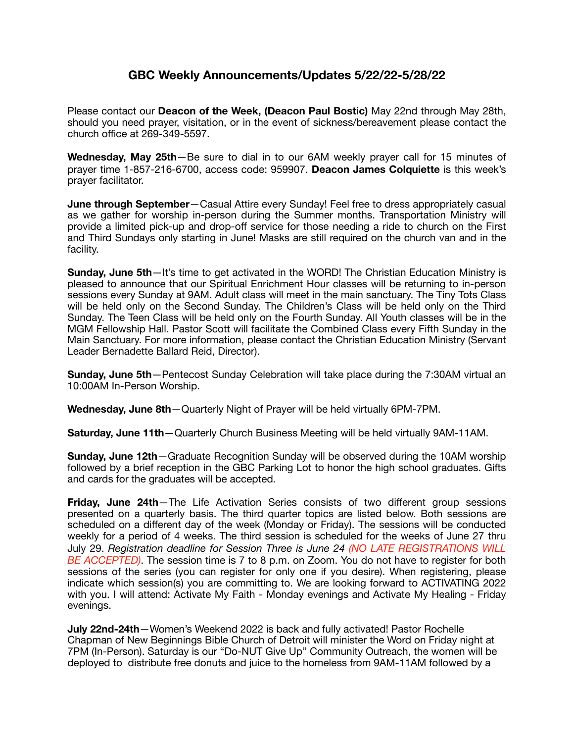## **GBC Weekly Announcements/Updates 5/22/22-5/28/22**

Please contact our **Deacon of the Week, (Deacon Paul Bostic)** May 22nd through May 28th, should you need prayer, visitation, or in the event of sickness/bereavement please contact the church office at 269-349-5597.

**Wednesday, May 25th**—Be sure to dial in to our 6AM weekly prayer call for 15 minutes of prayer time 1-857-216-6700, access code: 959907. **Deacon James Colquiette** is this week's prayer facilitator.

**June through September**—Casual Attire every Sunday! Feel free to dress appropriately casual as we gather for worship in-person during the Summer months. Transportation Ministry will provide a limited pick-up and drop-off service for those needing a ride to church on the First and Third Sundays only starting in June! Masks are still required on the church van and in the facility.

**Sunday, June 5th**—It's time to get activated in the WORD! The Christian Education Ministry is pleased to announce that our Spiritual Enrichment Hour classes will be returning to in-person sessions every Sunday at 9AM. Adult class will meet in the main sanctuary. The Tiny Tots Class will be held only on the Second Sunday. The Children's Class will be held only on the Third Sunday. The Teen Class will be held only on the Fourth Sunday. All Youth classes will be in the MGM Fellowship Hall. Pastor Scott will facilitate the Combined Class every Fifth Sunday in the Main Sanctuary. For more information, please contact the Christian Education Ministry (Servant Leader Bernadette Ballard Reid, Director).

**Sunday, June 5th**—Pentecost Sunday Celebration will take place during the 7:30AM virtual an 10:00AM In-Person Worship.

**Wednesday, June 8th**—Quarterly Night of Prayer will be held virtually 6PM-7PM.

**Saturday, June 11th**—Quarterly Church Business Meeting will be held virtually 9AM-11AM.

**Sunday, June 12th**—Graduate Recognition Sunday will be observed during the 10AM worship followed by a brief reception in the GBC Parking Lot to honor the high school graduates. Gifts and cards for the graduates will be accepted.

**Friday, June 24th**—The Life Activation Series consists of two different group sessions presented on a quarterly basis. The third quarter topics are listed below. Both sessions are scheduled on a different day of the week (Monday or Friday). The sessions will be conducted weekly for a period of 4 weeks. The third session is scheduled for the weeks of June 27 thru July 29. *Registration deadline for Session Three is June 24 (NO LATE REGISTRATIONS WILL BE ACCEPTED)*. The session time is 7 to 8 p.m. on Zoom. You do not have to register for both sessions of the series (you can register for only one if you desire). When registering, please indicate which session(s) you are committing to. We are looking forward to ACTIVATING 2022 with you. I will attend: Activate My Faith - Monday evenings and Activate My Healing - Friday evenings.

**July 22nd-24th**—Women's Weekend 2022 is back and fully activated! Pastor Rochelle Chapman of New Beginnings Bible Church of Detroit will minister the Word on Friday night at 7PM (In-Person). Saturday is our "Do-NUT Give Up" Community Outreach, the women will be deployed to distribute free donuts and juice to the homeless from 9AM-11AM followed by a